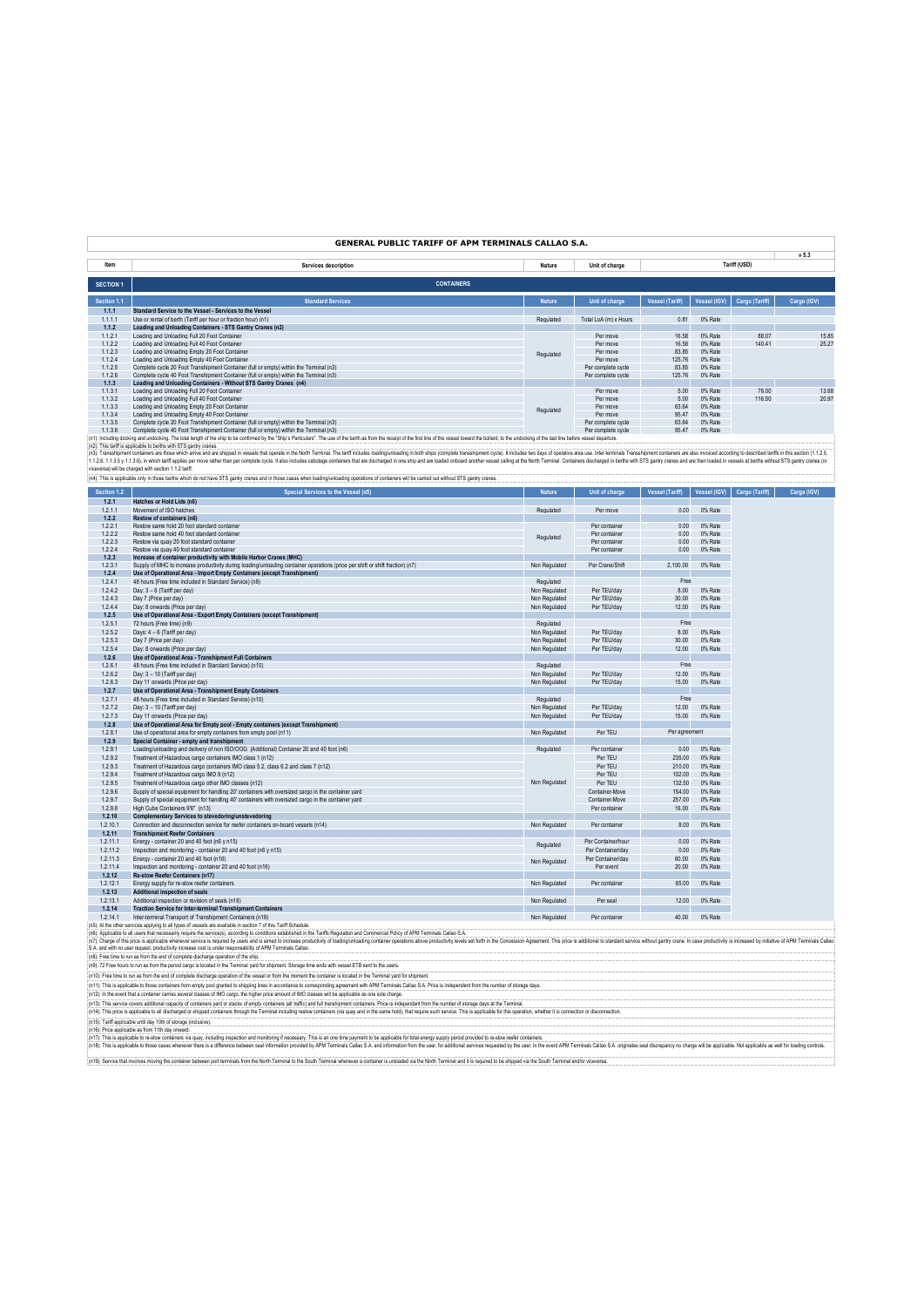### **GENERAL PUBLIC TARIFF OF APM TERMINALS CALLAO S.A.**

|                  |                                                                                                                                                                                                                               |               |                       |                 |              |                | v 5.3       |
|------------------|-------------------------------------------------------------------------------------------------------------------------------------------------------------------------------------------------------------------------------|---------------|-----------------------|-----------------|--------------|----------------|-------------|
| Item             | <b>Services description</b>                                                                                                                                                                                                   | Nature        | Unit of charge        |                 |              | Tariff (USD)   |             |
|                  |                                                                                                                                                                                                                               |               |                       |                 |              |                |             |
| <b>SECTION 1</b> | <b>CONTAINERS</b>                                                                                                                                                                                                             |               |                       |                 |              |                |             |
| Section 1.1      | <b>Standard Services</b>                                                                                                                                                                                                      | <b>Nature</b> | Unit of charge        | Vessel (Tariff) | Vessel (IGV) | Cargo (Tariff) | Cargo (IGV) |
| 1.1.1            | Standard Service to the Vessel - Services to the Vessel                                                                                                                                                                       |               |                       |                 |              |                |             |
| 1.1.1.1          | Use or rental of berth (Tariff per hour or fraction hour) (n1)                                                                                                                                                                | Regulated     | Total LoA (m) x Hours | 0.81            | 0% Rate      |                |             |
| 1.1.2            | Loading and Unloading Containers - STS Gantry Cranes (n2)                                                                                                                                                                     |               |                       |                 |              |                |             |
| 1.1.2.1          | Loading and Unloading Full 20 Foot Container                                                                                                                                                                                  |               | Per move              | 16.58           | 0% Rate      | 88.07          | 15.85       |
| 1.1.2.2          | Loading and Unloading Full 40 Foot Container                                                                                                                                                                                  |               | Per move              | 16.58           | 0% Rate      | 140.41         | 25.27       |
| 1.1.2.3          | Loading and Unloading Empty 20 Foot Container                                                                                                                                                                                 | Regulated     | Per move              | 83.85           | 0% Rate      |                |             |
| 1.1.2.4          | Loading and Unloading Empty 40 Foot Container                                                                                                                                                                                 |               | Per move              | 125.76          | 0% Rate      |                |             |
| 1.1.2.5          | Complete cycle 20 Foot Transhipment Container (full or empty) within the Terminal (n3)                                                                                                                                        |               | Per complete cycle    | 83.85           | 0% Rate      |                |             |
| 1.1.2.6          | Complete cycle 40 Foot Transhipment Container (full or empty) within the Terminal (n3)                                                                                                                                        |               | Per complete cycle    | 125.76          | 0% Rate      |                |             |
| 1.1.3            | Loading and Unloading Containers - Without STS Gantry Cranes (n4)                                                                                                                                                             |               |                       |                 |              |                |             |
| 1.1.3.1          | Loading and Unloading Full 20 Foot Container                                                                                                                                                                                  |               | Per move              | 5.00            | 0% Rate      | 76.00          | 13.68       |
| 1.1.3.2          | Loading and Unloading Full 40 Foot Container                                                                                                                                                                                  |               | Per move              | 5.00            | 0% Rate      | 116.50         | 20.97       |
| 1.1.3.3          | Loading and Unloading Empty 20 Foot Container                                                                                                                                                                                 | Regulated     | Per move              | 63.64           | 0% Rate      |                |             |
| 1.1.3.4          | Loading and Unloading Empty 40 Foot Container                                                                                                                                                                                 |               | Per move              | 95.47           | 0% Rate      |                |             |
| 1.1.3.5          | Complete cycle 20 Foot Transhipment Container (full or empty) within the Terminal (n3)                                                                                                                                        |               | Per complete cycle    | 63.64           | 0% Rate      |                |             |
| 1.1.3.6          | Complete cycle 40 Foot Transhipment Container (full or empty) within the Terminal (n3)                                                                                                                                        |               | Per complete cycle    | 95.47           | 0% Rate      |                |             |
|                  | [n1]: Including docking and undocking. The total length of the ship to be confirmed by the "Ship's Particulars". The use of the beth as from the receipt of the first line of the vessel toward the bollard, to the undocking |               |                       |                 |              |                |             |
|                  | in2): This tariff is applicable to berths with STS gantry cranes.                                                                                                                                                             |               |                       |                 |              |                |             |

in2. This similated bole has the State in State and are shipped in vessels that operate in the North Terminal. The terff incides loanguindating in both ships complet transformer cycle it includes to days of operative areas

| Section 1.2          | Special Services to the Vessel (n5)                                                                                                                                                                                            | <b>Nature</b> | Unit of charge                 | <b>Vessel (Tariff)</b> | Vessel (IGV)       | Cargo (Tariff) | Carga (IGV) |
|----------------------|--------------------------------------------------------------------------------------------------------------------------------------------------------------------------------------------------------------------------------|---------------|--------------------------------|------------------------|--------------------|----------------|-------------|
| 1.2.1                | Hatches or Hold Lids (n6)                                                                                                                                                                                                      |               |                                |                        |                    |                |             |
| 1.2.1.1<br>1.2.2     | Movement of ISO hatches                                                                                                                                                                                                        | Regulated     | Per move                       | 0.00                   | 0% Rate            |                |             |
| 1.2.2.1              | Restow of containers (n6)<br>Restow same hold 20 foot standard container                                                                                                                                                       |               | Per container                  | 0.00                   | 0% Rate            |                |             |
| 1.2.2.2              | Restow same hold 40 foot standard container                                                                                                                                                                                    |               | Per container                  | 0.00                   | 0% Rate            |                |             |
| 1.2.2.3              | Restow via quay 20 foot standard container                                                                                                                                                                                     | Regulated     | Per container                  | 0.00                   | 0% Rate            |                |             |
| 1.2.2.4              | Restow via quay 40 foot standard container                                                                                                                                                                                     |               | Per container                  | 0.00                   | 0% Rate            |                |             |
| 1.2.3                | Increase of container productivity with Mobile Harbor Cranes (MHC)                                                                                                                                                             |               |                                |                        |                    |                |             |
| 1.2.3.1              | Supply of MHC to increase productivity during loading/unloading container operations (price per shift or shift fraction) (n7)                                                                                                  | Non Regulated | Per Crane/Shift                | 2,100.00               | 0% Rate            |                |             |
| 1.2.4                | Use of Operational Area - Import Empty Containers (except Transhipment)                                                                                                                                                        |               |                                |                        |                    |                |             |
| 1.2.4.1              | 48 hours (Free time included in Standard Service) (n8)                                                                                                                                                                         | Regulated     |                                | Free                   |                    |                |             |
| 1.2.4.2              | Day: 3 - 6 (Tariff per day)                                                                                                                                                                                                    | Non Regulated | Per TEU/day                    | 8.00                   | 0% Rate            |                |             |
| 1.2.4.3              | Day 7 (Price per day)                                                                                                                                                                                                          | Non Regulated | Per TEU/day                    | 30.00                  | 0% Rate            |                |             |
| 1.2.4.4              | Day: 8 onwards (Price per day)                                                                                                                                                                                                 | Non Regulated | Per TEU/dav                    | 12.00                  | 0% Rate            |                |             |
| 1.2.5                | Use of Operational Area - Export Empty Containers (except Transhipment)                                                                                                                                                        |               |                                |                        |                    |                |             |
| 1.2.5.1              | 72 hours (Free time) (n9)                                                                                                                                                                                                      | Regulated     |                                | Free                   |                    |                |             |
| 1.2.5.2              | Days: 4 - 6 (Tariff per day)                                                                                                                                                                                                   | Non Regulated | Per TEU/day                    | 8.00                   | 0% Rate            |                |             |
| 1.2.5.3              | Day 7 (Price per day)                                                                                                                                                                                                          | Non Regulated | Per TEU/day                    | 30.00                  | 0% Rate            |                |             |
| 1254                 | Day: 8 onwards (Price per day)                                                                                                                                                                                                 | Non Regulated | Per TEU/dav                    | 12.00                  | 0% Rate            |                |             |
| 1.2.6                | Use of Operational Area - Transhipment Full Containers                                                                                                                                                                         |               |                                |                        |                    |                |             |
| 1.2.6.1              | 48 hours (Free time included in Standard Service) (n10)                                                                                                                                                                        | Regulated     |                                | Free                   |                    |                |             |
| 1.2.6.2              | Day: 3 - 10 (Tariff per day)                                                                                                                                                                                                   | Non Regulated | Per TEU/dav                    | 12.00                  | 0% Rate            |                |             |
| 1.2.6.3              | Day 11 onwards (Price per day)                                                                                                                                                                                                 | Non Regulated | Per TEU/day                    | 15.00                  | 0% Rate            |                |             |
| 1.2.7                | Use of Operational Area - Transhipment Empty Containers                                                                                                                                                                        |               |                                |                        |                    |                |             |
| 1.2.7.1              | 48 hours (Free time included in Standard Service) (n10)                                                                                                                                                                        | Regulated     |                                | Free                   |                    |                |             |
| 1.2.7.2              | Day: 3 - 10 (Tariff per day)                                                                                                                                                                                                   | Non Regulated | Per TEU/dav                    | 12.00                  | 0% Rate            |                |             |
| 1.2.7.3              | Day 11 onwards (Price per day)                                                                                                                                                                                                 | Non Regulated | Per TEU/day                    | 15.00                  | 0% Rate            |                |             |
| 1.2.8                | Use of Operational Area for Empty pool - Empty containers (except Transhipment)                                                                                                                                                |               |                                |                        |                    |                |             |
| 1.2.8.1              | Use of operational area for empty containers from empty pool (n11)                                                                                                                                                             | Non Regulated | Per TEU                        | Per agreement          |                    |                |             |
| 1.2.9                | Special Container - empty and transhipment                                                                                                                                                                                     |               |                                |                        |                    |                |             |
| 1.2.9.1              | Loading/unloading and delivery of non ISO/OOG (Additional) Container 20 and 40 foot (n6)                                                                                                                                       | Regulated     | Per container                  | 0.00                   | 0% Rate            |                |             |
| 1.2.9.2              | Treatment of Hazardous cargo containers IMO class 1 (n12)                                                                                                                                                                      |               | Per TEU                        | 235.00                 | 0% Rate            |                |             |
| 1.2.9.3              | Treatment of Hazardous cargo containers IMO class 5.2, class 6.2 and class 7 (n12)                                                                                                                                             |               | Per TEU                        | 210.00                 | 0% Rate            |                |             |
| 1.2.9.4              | Treatment of Hazardous cargo IMO 9 (n12)                                                                                                                                                                                       |               | Per TEU                        | 102.00                 | 0% Rate            |                |             |
| 1.2.9.5              | Treatment of Hazardous cargo other IMO classes (n12)                                                                                                                                                                           | Non Regulated | Per TEU                        | 132.50                 | 0% Rate            |                |             |
| 1.2.9.6              | Supply of special equipment for handling 20' containers with oversized cargo in the container vard                                                                                                                             |               | Container-Move                 | 154.00                 | 0% Rate            |                |             |
| 1.2.9.7              | Supply of special equipment for handling 40' containers with oversized cargo in the container yard                                                                                                                             |               | Container-Move                 | 257.00                 | 0% Rate            |                |             |
| 1.2.9.8              | High Cube Containers 9'6" (n13)                                                                                                                                                                                                |               | Per container                  | 16.00                  | 0% Rate            |                |             |
| 1.2.10               | <b>Complementary Services to stevedoring/unstevedoring</b>                                                                                                                                                                     |               |                                |                        |                    |                |             |
| 1.2.10.1             | Connection and disconnection service for reefer containers on-board vessels (n14)                                                                                                                                              | Non Regulated | Per container                  | 8.00                   | 0% Rate            |                |             |
| 1.2.11               | <b>Transhipment Reefer Containers</b>                                                                                                                                                                                          |               |                                |                        |                    |                |             |
| 1.2.11.1             | Energy - container 20 and 40 foot (n6 y n15)                                                                                                                                                                                   | Regulated     | Per Container/hour             | 0.00                   | 0% Rate            |                |             |
| 1.2.11.2             | Inspection and monitoring - container 20 and 40 foot (n6 y n15)                                                                                                                                                                |               | Per Container/day              | 0.00                   | 0% Rate            |                |             |
| 1.2.11.3<br>1.2.11.4 | Energy - container 20 and 40 foot (n16)                                                                                                                                                                                        | Non Regulated | Per Container/dav<br>Per event | 60.00<br>20.00         | 0% Rate<br>0% Rate |                |             |
|                      | Inspection and monitoring - container 20 and 40 foot (n16)                                                                                                                                                                     |               |                                |                        |                    |                |             |
| 1.2.12<br>1.2.12.1   | Re-stow Reefer Containers (n17)<br>Energy supply for re-stow reefer containers                                                                                                                                                 |               | Per container                  | 65.00                  | 0% Rate            |                |             |
| 1,2.13               | Additional inspection of seals                                                                                                                                                                                                 | Non Regulated |                                |                        |                    |                |             |
| 1.2.13.1             | Additional inspection or revision of seals (n18)                                                                                                                                                                               | Non Regulated | Per seal                       | 12.00                  | 0% Rate            |                |             |
| 1.2.14               | <b>Traction Service for Inter-terminal Transhipment Containers</b>                                                                                                                                                             |               |                                |                        |                    |                |             |
| 1.2.14.1             | Inter-terminal Transport of Transhipment Containers (n19)                                                                                                                                                                      | Non Regulated | Per container                  | 40.00                  | 0% Rate            |                |             |
|                      | (n5): Al the other services applying to all types of vessels are available in section 7 of this Tariff Schedule.                                                                                                               |               |                                |                        |                    |                |             |
|                      | (n6): Applicable to all users that necessarily require the service(s), according to conditions established in the Tariffs Regulation and Commercial Policy of APM Terminals Callao S.A.                                        |               |                                |                        |                    |                |             |
|                      | (n7): Charge of this price is applicable whenever service is required by users and is aimed to increase productivity of loading/unloading container operations above productivity elvels set forth in the Concession Agreement |               |                                |                        |                    |                |             |
|                      | S.A. and with no user request, productivity increase cost is under responsability of APM Terminals Callao.                                                                                                                     |               |                                |                        |                    |                |             |
|                      | (n8): Free time to run as from the end of complete discharge operation of the ship.                                                                                                                                            |               |                                |                        |                    |                |             |
|                      | (n9): 72 Free hours to run as from the period cargo is located in the Terminal yard for shipment. Storage time ends with vessel ETB sent to the users.                                                                         |               |                                |                        |                    |                |             |
|                      | (n10): Free time to run as from the end of complete discharge operation of the vessel or from the moment the container is located in the Terminal yard for shipment.                                                           |               |                                |                        |                    |                |             |
|                      | (n11): This is applicable to those containers from empty pool granted to shipping lines in accordance to corresponding agreement with APM Terminals Callao S.A. Price is independent from the number of storage days.          |               |                                |                        |                    |                |             |
|                      | (n12): In the event that a container carries several classes of IMO cargo, the higher price amount of IMO classes will be applicable as one sole charge.                                                                       |               |                                |                        |                    |                |             |
|                      | (n13): This service covers additional capacity of containers yard or stacks of empty containers (all traffic) and full transhipment containers. Price is independant from the number of storage days at the Terminal.          |               |                                |                        |                    |                |             |
|                      |                                                                                                                                                                                                                                |               |                                |                        |                    |                |             |

(n13). This serice covers additional opacity of octainers and or stacks of empty containers (all amount of the improved containes (via que and in the same hold), that requires the inspectable for this applicable for this c

(n19): Service that involves moving the container between port terminals from the North Terminal to the South Terminal whenever a container is unloaded via the North Terminal and it is required to be shipped via the South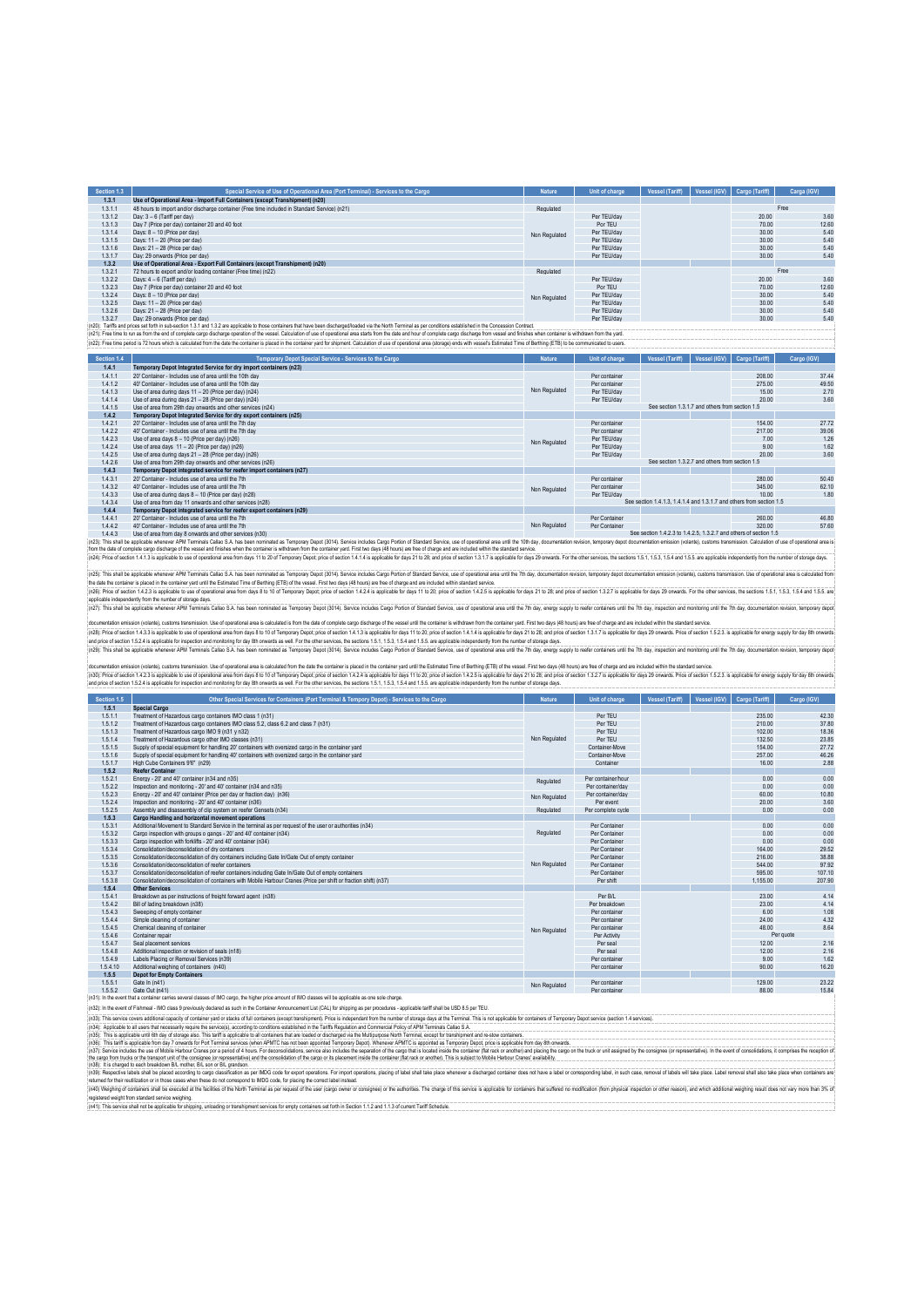| Section 1.3 | Special Service of Use of Operational Area (Port Terminal) - Services to the Cargo                                                                                                                                     | <b>Nature</b> | <b>Unit of charge</b> | Vessel (Tariff) | Vessel (IGV) | Cargo (Tariff) | Carga (IGV) |
|-------------|------------------------------------------------------------------------------------------------------------------------------------------------------------------------------------------------------------------------|---------------|-----------------------|-----------------|--------------|----------------|-------------|
| 1.3.1       | Use of Operational Area - Import Full Containers (except Transhipment) (n20)                                                                                                                                           |               |                       |                 |              |                |             |
| 1.3.1.1     | 48 hours to import and/or discharge container (Free time included in Standard Service) (n21)                                                                                                                           | Regulated     |                       |                 |              |                | Free        |
| 1.3.1.2     | Day: 3 - 6 (Tariff per day)                                                                                                                                                                                            |               | Per TEU/dav           |                 |              | 20.00          | 3.60        |
| 1.3.1.3     | Day 7 (Price per day) container 20 and 40 foot                                                                                                                                                                         |               | Por TFU               |                 |              | 70.00          | 12.60       |
| 1.3.1.4     | Days: 8 - 10 (Price per day)                                                                                                                                                                                           | Non Regulated | Per TEU/dav           |                 |              | 30.00          | 5.40        |
| 1.3.1.5     | Days: 11 - 20 (Price per day)                                                                                                                                                                                          |               | Per TEU/day           |                 |              | 30.00          | 5.40        |
| 1.3.1.6     | Days: 21 - 28 (Price per day)                                                                                                                                                                                          |               | Per TEU/day           |                 |              | 30.00          | 5.40        |
| 1.3.1.7     | Day: 29 onwards (Price per day)                                                                                                                                                                                        |               | Per TEU/day           |                 |              | 30.00          | 5.40        |
| 1.3.2       | Use of Operational Area - Export Full Containers (except Transhipment) (n20)                                                                                                                                           |               |                       |                 |              |                |             |
| 1.3.2.1     | 72 hours to export and/or loading container (Free time) (n22)                                                                                                                                                          | Regulated     |                       |                 |              |                | Free        |
| 1.3.2.2     | Days: 4 - 6 (Tariff per day)                                                                                                                                                                                           |               | Per TEU/dav           |                 |              | 20.00          | 3.60        |
| 1.3.2.3     | Day 7 (Price per day) container 20 and 40 foot                                                                                                                                                                         |               | Por TFU               |                 |              | 70.00          | 12.60       |
| 1.3.2.4     | Days: 8 - 10 (Price per day)                                                                                                                                                                                           | Non Regulated | Per TEU/dav           |                 |              | 30.00          | 5.40        |
| 1.3.2.5     | Days: 11 - 20 (Price per day)                                                                                                                                                                                          |               | Per TEU/dav           |                 |              | 30.00          | 5.40        |
| 1.3.2.6     | Days: 21 - 28 (Price per day)                                                                                                                                                                                          |               | Per TEU/dav           |                 |              | 30.00          | 5.40        |
| 1327        | Day: 29 onwards (Price per day)                                                                                                                                                                                        |               | Per TEU/dav           |                 |              | 30.00          | 5.40        |
|             | (n20): Tanffs and prices set forth in sub-section 1.3.1 and 1.3.2 are applicable to those containers that have been discharged/loaded via the North Terminal as per conditions established in the Concession Contract. |               |                       |                 |              |                |             |

(n2l): Tarifis and prices set forth is sub-section 1.3.1 and 1.3.2 are applicable to thos containers that have been discharged/baded via the Norfh Terminal as per conditions established in the Concession Contract.<br>(n21): F

| Section 1.4 | Temporary Depot Special Service - Services to the Cargo                                                                                                                                                                        | <b>Nature</b> | Unit of charge                                  | Vessel (Tariff)                                                      | Vessel (IGV) | Cargo (Tariff) | Cargo (IGV) |  |  |
|-------------|--------------------------------------------------------------------------------------------------------------------------------------------------------------------------------------------------------------------------------|---------------|-------------------------------------------------|----------------------------------------------------------------------|--------------|----------------|-------------|--|--|
| 1.4.1       | Temporary Depot Integrated Service for dry import containers (n23)                                                                                                                                                             |               |                                                 |                                                                      |              |                |             |  |  |
| 1.4.1.1     | 20" Container - Includes use of area until the 10th day                                                                                                                                                                        |               | Per container                                   |                                                                      |              | 208.00         | 37.44       |  |  |
| 1.4.1.2     | 40' Container - Includes use of area until the 10th day                                                                                                                                                                        |               | Per container                                   |                                                                      |              | 275.00         | 49.50       |  |  |
| 1.4.1.3     | Use of area during days 11 - 20 (Price per day) (n24)                                                                                                                                                                          | Non Regulated | Per TEU/dav                                     |                                                                      |              | 15.00          | 2.70        |  |  |
| 1.4.1.4     | Use of area during days 21 - 28 (Price per day) (n24)                                                                                                                                                                          |               | Per TEU/dav                                     |                                                                      |              | 20.00          | 3.60        |  |  |
| 1.4.1.5     | Use of area from 29th day onwards and other services (n24)                                                                                                                                                                     |               |                                                 | See section 1.3.1.7 and others from section 1.5                      |              |                |             |  |  |
| 1.4.2       | Temporary Depot Integrated Service for dry export containers (n25)                                                                                                                                                             |               |                                                 |                                                                      |              |                |             |  |  |
| 1.4.2.1     | 20' Container - Includes use of area until the 7th day                                                                                                                                                                         |               | Per container                                   |                                                                      |              | 154.00         | 27.72       |  |  |
| 1.4.2.2     | 40' Container - Includes use of area until the 7th day                                                                                                                                                                         |               | Per container                                   |                                                                      |              | 217.00         | 39.06       |  |  |
| 1.4.2.3     | Use of area days 8 - 10 (Price per day) (n26)                                                                                                                                                                                  | Non Regulated | Per TEU/dav                                     |                                                                      |              | 7.00           | 1.26        |  |  |
| 1.4.2.4     | Use of area days 11 - 20 (Price per day) (n26)                                                                                                                                                                                 |               | Per TEU/dav                                     |                                                                      |              | 9.00           | 1.62        |  |  |
| 1.4.2.5     | Use of area during days 21 - 28 (Price per day) (n26)                                                                                                                                                                          |               | Per TEU/dav                                     |                                                                      |              | 20.00          | 3.60        |  |  |
| 1.4.2.6     | Use of area from 29th day onwards and other services (n26)                                                                                                                                                                     |               | See section 1.3.2.7 and others from section 1.5 |                                                                      |              |                |             |  |  |
| 1.4.3       | Temporary Depot integrated service for reefer import containers (n27)                                                                                                                                                          |               |                                                 |                                                                      |              |                |             |  |  |
| 1.4.3.1     | 20' Container - Includes use of area until the 7th                                                                                                                                                                             |               | Per container                                   |                                                                      |              | 280.00         | 50.40       |  |  |
| 1.4.3.2     | 40' Container - Includes use of area until the 7th                                                                                                                                                                             | Non Regulated | Per container                                   |                                                                      |              | 345.00         | 62.10       |  |  |
| 1.4.3.3     | Use of area during days 8 - 10 (Price per day) (n28)                                                                                                                                                                           |               | Per TEU/dav                                     |                                                                      |              | 10.00          | 1.80        |  |  |
| 1.4.3.4     | Use of area from day 11 onwards and other services (n28)                                                                                                                                                                       |               |                                                 | See section 1.4.1.3. 1.4.1.4 and 1.3.1.7 and others from section 1.5 |              |                |             |  |  |
| 1.4.4       | Temporary Depot integrated service for reefer export containers (n29)                                                                                                                                                          |               |                                                 |                                                                      |              |                |             |  |  |
| 1.4.4.1     | 20' Container - Includes use of area until the 7th                                                                                                                                                                             |               | Per Container                                   |                                                                      |              | 260.00         | 46.80       |  |  |
| 1.4.4.2     | 40' Container - Includes use of area until the 7th                                                                                                                                                                             | Non Regulated | Per Container                                   |                                                                      |              | 320.00         | 57.60       |  |  |
| 1.4.4.3     | Use of area from day 8 onwards and other services (n30)                                                                                                                                                                        |               |                                                 | See section 1.4.2.3 to 1.4.2.5, 1.3.2.7 and others of section 1.5    |              |                |             |  |  |
|             | (n23): This shall be applicable whenever APM Terminals Callao S.A. has been nominated as Temporary Depot (3014). Service includes Cargo Portion of Standard Service, use of operational area until the 10th day, documentation |               |                                                 |                                                                      |              |                |             |  |  |

fon the date comple capy distinged the vessel and finishes when the container is intentant for the complexy Field Indian in the complexy field and including the standard standard in the standard section 1.1.7 is applicable (n25): This shall be applicable whenever APM Terminals Callao S.A. has been nominaled as Temporary Depot (2014). Service includes Carpo Portion of Standard Service, use of operations reas until the 7th day, documentation r

the data face in product the containry and the Estimated Transform of Berting ETB) of the reseal Frist oderage for a broad paradie and an induct which is absolved that in the data of the contains in the containty of the St apidabie independing for min and and any of the minimation in the material as Temporary Dapy! (2014). Service includes Carpo Porton of Standerd Service, use of constitute area until the 7th day, energy supply to rediscute

documenton ensistn (via the main that instantion Use of Operation User and a state in the district of the complet carged the technology and the content of the content of the complete of the complete of the complete of the

documentation mission (vidente), customs transmission. Use of operational area is calculated from the date the container placed in the container part culture area of the Data Time of Berling (ETB) of the vessel. First hand

| Section 1.5 | Other Special Services for Containers (Port Terminal & Tempory Depot) - Services to the Cargo                    | <b>Nature</b> | Unit of charge     | <b>Vessel (Tariff)</b> | Vessel (IGV) | Cargo (Tariff) | Cargo (IGV) |
|-------------|------------------------------------------------------------------------------------------------------------------|---------------|--------------------|------------------------|--------------|----------------|-------------|
| 1.5.1       | <b>Special Cargo</b>                                                                                             |               |                    |                        |              |                |             |
| 1.5.1.1     | Treatment of Hazardous cargo containers IMO class 1 (n31)                                                        |               | Per TEU            |                        |              | 235.00         | 42.30       |
| 1.5.1.2     | Treatment of Hazardous cargo containers IMO class 5.2, class 6.2 and class 7 (n31)                               |               | Per TFU            |                        |              | 210.00         | 37.80       |
| 1.5.1.3     | Treatment of Hazardous cargo IMO 9 (n31 v n32)                                                                   |               | Per TEU            |                        |              | 102.00         | 18.36       |
| 1.5.1.4     | Treatment of Hazardous cargo other IMO classes (n31)                                                             | Non Regulated | Per TEU            |                        |              | 132.50         | 23.85       |
| 1.5.1.5     | Supply of special equipment for handling 20' containers with oversized cargo in the container vard               |               | Container-Move     |                        |              | 154.00         | 27.72       |
| 1.5.1.6     | Supply of special equipment for handling 40' containers with oversized cargo in the container vard               |               | Container-Move     |                        |              | 257.00         | 46.26       |
| 1.5.1.7     | High Cube Containers 9'6" (n29)                                                                                  |               | Container          |                        |              | 16.00          | 2.88        |
| 1.5.2       | <b>Reefer Container</b>                                                                                          |               |                    |                        |              |                |             |
| 1.5.2.1     | Energy - 20' and 40' container (n34 and n35)                                                                     | Regulated     | Per container/hour |                        |              | 0.00           | 0.00        |
| 1.5.2.2     | Inspection and monitoring - 20' and 40' container (n34 and n35)                                                  |               | Per container/day  |                        |              | 0.00           | 0.00        |
| 1.5.2.3     | Energy - 20' and 40' container (Price per day or fraction day) (n36)                                             | Non Regulated | Per container/day  |                        |              | 60.00          | 10.80       |
| 1.5.2.4     | Inspection and monitoring - 20' and 40' container (n36)                                                          |               | Per event          |                        |              | 20.00          | 3.60        |
| 1.5.2.5     | Assembly and disassembly of clin system on reefer Gensets (n34)                                                  | Regulated     | Per complete cycle |                        |              | 0.00           | 0.00        |
| 1.5.3       | Cargo Handling and horizontal movement operations                                                                |               |                    |                        |              |                |             |
| 1.5.3.1     | Additional Movement to Standard Service in the terminal as per request of the user or authorities (n34)          |               | Per Container      |                        |              | 0.00           | 0.00        |
| 1.5.3.2     | Cargo inspection with groups o gangs - 20' and 40' container (n34)                                               | Regulated     | Per Container      |                        |              | 0.00           | 0.00        |
| 1.5.3.3     | Cargo inspection with forklifts - 20' and 40' container (n34)                                                    |               | Per Container      |                        |              | 0.00           | 0.00        |
| 1.5.3.4     | Consolidation/deconsolidation of dry containers                                                                  |               | Per Container      |                        |              | 164.00         | 29.52       |
| 1.5.3.5     | Consolidation/deconsolidation of dry containers including Gate In/Gate Out of empty container                    |               | Per Container      |                        |              | 216.00         | 38.88       |
| 1.5.3.6     | Consolidation/deconsolidation of reefer containers                                                               | Non Regulated | Per Container      |                        |              | 544.00         | 97.92       |
| 1.5.3.7     | Consolidation/deconsolidation of reefer containers including Gate In/Gate Out of empty containers                |               | Per Container      |                        |              | 595.00         | 107.10      |
| 1.5.3.8     | Consolidation/deconsolidation of containers with Mobile Harbour Cranes (Price per shift or fraction shift) (n37) |               | Per shift          |                        |              | 1.155.00       | 207.90      |
| 1.5.4       | <b>Other Services</b>                                                                                            |               |                    |                        |              |                |             |
| 1.5.4.1     | Breakdown as per instructions of freight forward agent (n38)                                                     |               | Per B/I            |                        |              | 23.00          | 4.14        |
| 1.5.4.2     | Bill of lading breakdown (n38)                                                                                   |               | Per breakdown      |                        |              | 23.00          | 4.14        |
| 1.5.4.3     | Sweeping of empty container                                                                                      |               | Per container      |                        |              | 6.00           | 1.08        |
| 1.5.4.4     | Simple cleaning of container                                                                                     |               | Per container      |                        |              | 24.00          | 4.32        |
| 1.5.4.5     | Chemical cleaning of container                                                                                   | Non Regulated | Per container      |                        |              | 48.00          | 8.64        |
| 1.5.4.6     | Container repair                                                                                                 |               | Per Activity       |                        |              |                | Per quote   |
| 1.5.4.7     | Seal placement services                                                                                          |               | Per seal           |                        |              | 12.00          | 2.16        |
| 1.5.4.8     | Additional inspection or revision of seals (n18)                                                                 |               | Per seal           |                        |              | 12.00          | 2.16        |
| 1.5.4.9     | Labels Placing or Removal Services (n39)                                                                         |               | Per container      |                        |              | 9.00           | 1.62        |
| 1.5.4.10    | Additional weighing of containers (n40)                                                                          |               | Per container      |                        |              | 90.00          | 16.20       |
| 1.5.5       | <b>Depot for Empty Containers</b>                                                                                |               |                    |                        |              |                |             |
| 1.5.5.1     | Gate In (n41)                                                                                                    | Non Regulated | Per container      |                        |              | 129.00         | 23.22       |
| 1.5.5.2     | Gate Out (n41)                                                                                                   |               | Per container      |                        |              | 88.00          | 15.84       |

1.5.5.2 Gate Out (n41): In the event that a container carries several classes of IMO cargo, the higher price amount of IMO classes will be applicable as one sole charge.

(n32): In the event of Fishmeal - IMO class 9 previously declared as such in the Container Announcement List (CAL) for shipping as per procedures - applicable tariff shall be USD 8.5 per TEU.

(n35): This is applicable until 6th day of storage also. This tariff is applicable to all containers that are loaded or discharged via the Multipurpose North Terminal, except for transhipment and re-stow containers. (n3)): Response ables and the placed according to approduced formations of Museum of the second product and the second state of the second construction of the second included and the second included and the second included (n33). This service covers additional capachy of antical section and ill containes (except transity metals constructed for the marker of storage days at the Terminal. This is not applicable for containers of Temporary Depo (n3). This unifia applicable formats for the minial service lythe ANTO base that positions appointed Temporary Days). Whenever ANTO is appointed a Temporary pays including the complete and the complete and the complete and

(MO) we income that we are able to the solice of the Noth Termini as per request of the user (caso were or cosignee) or the authoris. The change of this service is applicable to containers that suffered on conficialization

(n41): This service shall not be applicable for shipping, unloading or transhipment services for empty containers set forth in Section 1.1.2 and 1.1.3 of current Tariff Schedule.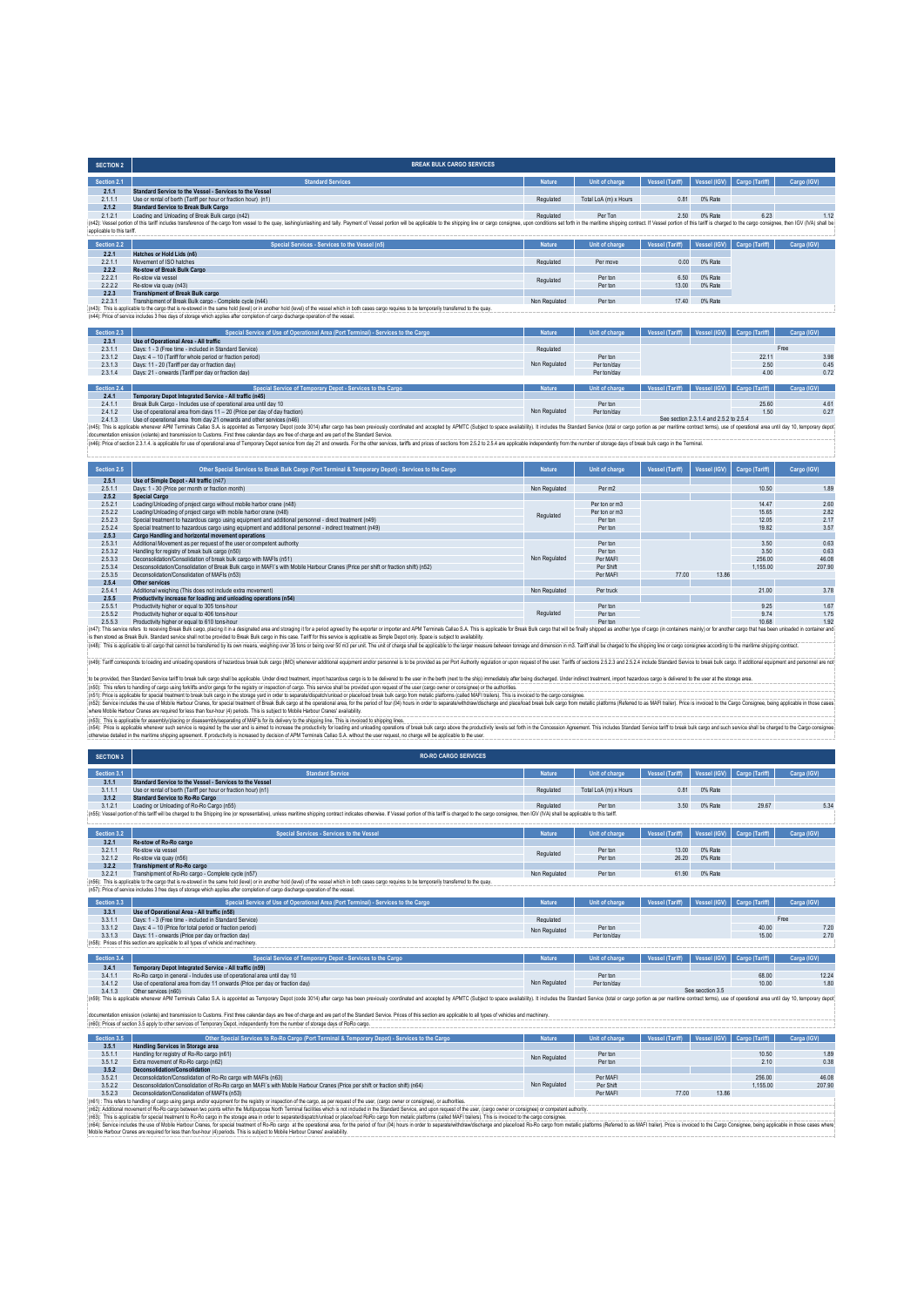| <b>SECTION 2</b>           | <b>BREAK BULK CARGO SERVICES</b>                                                                                                                                                                                                                                                                                                                                                                                                     |               |                       |                        |                                        |                             |             |
|----------------------------|--------------------------------------------------------------------------------------------------------------------------------------------------------------------------------------------------------------------------------------------------------------------------------------------------------------------------------------------------------------------------------------------------------------------------------------|---------------|-----------------------|------------------------|----------------------------------------|-----------------------------|-------------|
| Section 2.1                | <b>Standard Services</b>                                                                                                                                                                                                                                                                                                                                                                                                             | <b>Nature</b> | <b>Unit of charge</b> | <b>Vessel (Tariff)</b> | Vessel (IGV)                           | Cargo (Tariff)              | Cargo (IGV) |
| 2.1.1                      | Standard Service to the Vessel - Services to the Vessel                                                                                                                                                                                                                                                                                                                                                                              |               |                       |                        |                                        |                             |             |
| 2.1.1.1                    | Use or rental of berth (Tariff per hour or fraction hour) (n1)                                                                                                                                                                                                                                                                                                                                                                       | Regulated     | Total LoA (m) x Hours | 0.81                   | 0% Rate                                |                             |             |
| 2.1.2                      | <b>Standard Service to Break Bulk Cargo</b>                                                                                                                                                                                                                                                                                                                                                                                          |               |                       |                        |                                        |                             |             |
| 2.1.2.1                    | Loading and Unloading of Break Bulk cargo (n42)                                                                                                                                                                                                                                                                                                                                                                                      | Regulated     | Per Ton               | 2.50                   | 0% Rate                                | 6.23                        | 1.12        |
| applicable to this tariff. | (n42): Vessel portion of this tariff includes transference of the cargo from vessel to the quay, lashingunlashing and tally. Payment of Vessel portion will be applicable to the shipping line or cargo consignee, upon condit                                                                                                                                                                                                       |               |                       |                        |                                        |                             |             |
| Section 2.2                | Special Services - Services to the Vessel (n5)                                                                                                                                                                                                                                                                                                                                                                                       | <b>Nature</b> | <b>Unit of charge</b> | <b>Vessel (Tariff)</b> | Vessel (IGV)                           | <b>Cargo</b> (Tariff)       | Carga (IGV) |
| 2.2.1                      | Hatches or Hold Lids (n6)                                                                                                                                                                                                                                                                                                                                                                                                            |               |                       |                        |                                        |                             |             |
| 2.2.1.1                    | Movement of ISO hatches                                                                                                                                                                                                                                                                                                                                                                                                              | Regulated     | Per move              | 0.00                   | 0% Rate                                |                             |             |
| 2.2.2                      | Re-stow of Break Bulk Cargo                                                                                                                                                                                                                                                                                                                                                                                                          |               |                       |                        |                                        |                             |             |
| 2.2.2.1                    | Re-stow via vessel                                                                                                                                                                                                                                                                                                                                                                                                                   | Regulated     | Per ton               | 6.50                   | 0% Rate                                |                             |             |
| 2.2.2.2                    | Re-stow via quay (n43)                                                                                                                                                                                                                                                                                                                                                                                                               |               | Per ton               | 13.00                  | 0% Rate                                |                             |             |
| 2.2.3                      | <b>Transhipment of Break Bulk cargo</b>                                                                                                                                                                                                                                                                                                                                                                                              |               |                       |                        |                                        |                             |             |
| 2.2.3.1                    | Transhipment of Break Bulk cargo - Complete cycle (n44)                                                                                                                                                                                                                                                                                                                                                                              | Non Regulated | Per ton               | 17.40                  | 0% Rate                                |                             |             |
| Section 2.3                | (n43): This is applicable to the cargo that is re-stowed in the same hold (level) or in another hold (level) of the vessel which in both cases cargo requires to be temporarily transferred to the quay.<br>(n44): Price of service includes 3 free days of storage which applies after completion of cargo discharge operation of the vessel.<br>Special Service of Use of Operational Area (Port Terminal) - Services to the Cargo | <b>Nature</b> | Unit of charge        | <b>Vessel (Tariff)</b> | Vessel (IGV)                           | Cargo (Tariff)              | Carga (IGV) |
| 2.3.1                      | Use of Operational Area - All traffic                                                                                                                                                                                                                                                                                                                                                                                                |               |                       |                        |                                        |                             |             |
| 2.3.1.1                    | Days: 1 - 3 (Free time - included in Standard Service)                                                                                                                                                                                                                                                                                                                                                                               | Regulated     |                       |                        |                                        |                             | Free        |
| 2.3.1.2                    | Days: 4 - 10 (Tariff for whole period or fraction period)                                                                                                                                                                                                                                                                                                                                                                            |               | Per ton               |                        |                                        | 22 11                       | 3.98        |
| 2.3.1.3                    | Days: 11 - 20 (Tariff per day or fraction day)                                                                                                                                                                                                                                                                                                                                                                                       | Non Regulated | Per ton/day           |                        |                                        | 2.50                        | 0.45        |
| 2.3.1.4                    | Days: 21 - onwards (Tariff per day or fraction day)                                                                                                                                                                                                                                                                                                                                                                                  |               | Per ton/day           |                        |                                        | 400                         | 0.72        |
|                            |                                                                                                                                                                                                                                                                                                                                                                                                                                      |               |                       |                        |                                        |                             |             |
| Section 2.4                | Special Service of Temporary Depot - Services to the Cargo                                                                                                                                                                                                                                                                                                                                                                           | <b>Nature</b> | <b>Unit of charge</b> | Vessel (Tariff)        |                                        | Vessel (IGV) Cargo (Tariff) | Carga (IGV) |
| 2.4.1                      | Temporary Depot Integrated Service - All traffic (n45)                                                                                                                                                                                                                                                                                                                                                                               |               |                       |                        |                                        |                             |             |
| 2.4.1.1                    | Break Bulk Cargo - Includes use of operational area until day 10                                                                                                                                                                                                                                                                                                                                                                     |               | Per ton               |                        |                                        | 25.60                       | 4.61        |
| 2.4.1.2                    | Use of operational area from days 11 - 20 (Price per day of day fraction)                                                                                                                                                                                                                                                                                                                                                            | Non Regulated | Per ton/day           |                        |                                        | 1.50                        | 0.27        |
| 2413                       | Use of operational area from day 21 onwards and other services (n46)                                                                                                                                                                                                                                                                                                                                                                 |               |                       |                        | See section 2.3.1.4 and 2.5.2 to 2.5.4 |                             |             |
|                            | (n45): This is applicable whenever APM Terminals Callao S.A. is appointed as Temporary Depot (code 3014) after cargo has been previously coordinated and accepted by APMTC (Subject to space availability). It includes the St                                                                                                                                                                                                       |               |                       |                        |                                        |                             |             |
|                            | documentation emission (volante) and transmission to Customs. First three calendar days are free of charge and are part of the Standard Service.                                                                                                                                                                                                                                                                                     |               |                       |                        |                                        |                             |             |
|                            | (m46): Price of section 2.3.1.4, is applicable for use of operational area of Temporary Depot service from day 21 and onwards. For the other services, tariffs and prices of sections from 2.5.2 to 2.5.4 are applicable indep                                                                                                                                                                                                       |               |                       |                        |                                        |                             |             |

| Section 2.5 | Other Special Services to Break Bulk Cargo (Port Terminal & Temporary Depot) - Services to the Cargo                                                                                                                           | <b>Nature</b> | Unit of charge | <b>Vessel (Tariff)</b> | Vessel (IGV) | Cargo (Tariff) | Cargo (IGV) |
|-------------|--------------------------------------------------------------------------------------------------------------------------------------------------------------------------------------------------------------------------------|---------------|----------------|------------------------|--------------|----------------|-------------|
| 2.5.1       | Use of Simple Depot - All traffic (n47)                                                                                                                                                                                        |               |                |                        |              |                |             |
| 2.5.1.1     | Days: 1 - 30 (Price per month or fraction month)                                                                                                                                                                               | Non Regulated | Per m2         |                        |              | 10.50          | 1.89        |
| 2.5.2       | <b>Special Cargo</b>                                                                                                                                                                                                           |               |                |                        |              |                |             |
| 2.5.2.1     | Loading/Unloading of project cargo without mobile harbor crane (n48)                                                                                                                                                           |               | Per ton or m3  |                        |              | 14 47          | 2.60        |
| 2.5.2.2     | Loading/Unloading of project cargo with mobile harbor crane (n48)                                                                                                                                                              | Regulated     | Per ton or m3  |                        |              | 15.65          | 2.82        |
| 2.5.2.3     | Special treatment to hazardous cargo using equipment and additional personnel - direct treatment (n49)                                                                                                                         |               | Per ton        |                        |              | 12.05          | 2.17        |
| 2.5.2.4     | Special treatment to hazardous cargo using equipment and additional personnel - indirect treatment (n49)                                                                                                                       |               | Per ton        |                        |              | 19.82          | 3.57        |
| 2.5.3       | Cargo Handling and horizontal movement operations                                                                                                                                                                              |               |                |                        |              |                |             |
| 2.5.3.1     | Additional Movement as per request of the user or competent authority                                                                                                                                                          |               | Per ton        |                        |              | 3.50           | 0.63        |
| 2.5.3.2     | Handling for registry of break bulk cargo (n50)                                                                                                                                                                                |               | Perton         |                        |              | 3.50           | 0.63        |
| 2.5.3.3     | Deconsolidation/Consolidation of break bulk cargo with MAEIs (n51)                                                                                                                                                             | Non Regulated | Per MAFI       |                        |              | 256.00         | 46.08       |
| 2.5.3.4     | Desconsolidation/Consolidation of Break Bulk cargo in MAFI's with Mobile Harbour Cranes (Price per shift or fraction shift) (n52)                                                                                              |               | Per Shift      |                        |              | 1.155.00       | 207.90      |
| 2.5.3.5     | Deconsolidation/Consolidation of MAFIs (n53)                                                                                                                                                                                   |               | Per MAFI       | 77.00                  | 13.86        |                |             |
| 2.5.4       | Other services                                                                                                                                                                                                                 |               |                |                        |              |                |             |
| 2.5.4.1     | Additional weighing (This does not include extra movement)                                                                                                                                                                     | Non Regulated | Per truck      |                        |              | 21.00          | 3.78        |
| 2.5.5       | Productivity increase for loading and unloading operations (n54)                                                                                                                                                               |               |                |                        |              |                |             |
| 2.5.5.1     | Productivity higher or equal to 305 tons-hour                                                                                                                                                                                  |               | Per ton        |                        |              | 9.25           | 1.67        |
| 2.5.5.2     | Productivity higher or equal to 406 tons-hour                                                                                                                                                                                  | Regulated     | Per ton        |                        |              | 9.74           | 1.75        |
| 2.5.5.3     | Productivity higher or equal to 610 tons-hour                                                                                                                                                                                  |               | Per ton        |                        |              | 10.68          | 1.92        |
|             | (n47): This service refers to receiving Break Bulk cargo, placing it in a designated area and storaging it for a period agreed by the exporter or importer and APM Terminals Callao S.A. This is applicable for Break Bulk car |               |                |                        |              |                |             |

is for streak Bill as Clarate service shall not be povided bleak Buk augh it is cass. Tan if to fits envious of porter is Simple Depotoity. Space is Simple Depote the second buckles in the second buckles and clarate shall

(iv8): Taiff corresponds to loading and unloading operations of hazardous break lubik cargo (IMO) whenever additional equipment and/or personnel is to be provided as per Port Authority regulation or upon request of the use

b top wide the Shanding Grapy using beach and the apple to the special to hard telement, importantions cannot are apple to the standard and the provision of the seculidation of the seculidation of the seculidation of the s

| <b>SECTION 3</b> | <b>RO-RO CARGO SERVICES</b>                                                                                                                                                                                                    |               |                       |                        |                     |                       |             |
|------------------|--------------------------------------------------------------------------------------------------------------------------------------------------------------------------------------------------------------------------------|---------------|-----------------------|------------------------|---------------------|-----------------------|-------------|
| Section 3.1      | <b>Standard Service</b>                                                                                                                                                                                                        | <b>Nature</b> | Unit of charge        | <b>Vessel (Tariff)</b> | <b>Vessel (IGV)</b> | <b>Cargo</b> (Tariff) | Carga (IGV) |
| 3.1.1            | Standard Service to the Vessel - Services to the Vessel                                                                                                                                                                        |               |                       |                        |                     |                       |             |
| 3.1.1.1          | Use or rental of berth (Tariff per hour or fraction hour) (n1)                                                                                                                                                                 | Regulated     | Total LoA (m) x Hours | 0.81                   | 0% Rate             |                       |             |
| 3.1.2            | <b>Standard Service to Ro-Ro Cargo</b>                                                                                                                                                                                         |               |                       |                        |                     |                       |             |
| 3.1.2.1          | Loading or Unloading of Ro-Ro Cargo (n55)                                                                                                                                                                                      | Regulated     | Per ton               | 3.50                   | 0% Rate             | 29.67                 | 5.34        |
|                  | (n55): Vessel portion of this tariff will be charged to the Shipping line (or representative), unless maritime shipping contract indicates otherwise. If Vessel portion of this tariff is charged to the cargo consignee, then |               |                       |                        |                     |                       |             |
|                  |                                                                                                                                                                                                                                |               |                       |                        |                     |                       |             |
| Section 3.2      | Special Services - Services to the Vessel                                                                                                                                                                                      | <b>Nature</b> | <b>Unit of charge</b> | <b>Vessel (Tariff)</b> | Vessel (IGV)        | <b>Cargo</b> (Tariff) | Carga (IGV) |
| 3.2.1            | Re-stow of Ro-Ro cargo                                                                                                                                                                                                         |               |                       |                        |                     |                       |             |
| 3.2.1.1          | Re-stow via vessel                                                                                                                                                                                                             | Regulated     | Per ton               | 13.00                  | 0% Rate             |                       |             |
| 3.2.1.2          | Re-stow via quay (n56)                                                                                                                                                                                                         |               | Per ton               | 26.20                  | 0% Rate             |                       |             |
| 3.2.2            | Transhipment of Ro-Ro cargo                                                                                                                                                                                                    |               |                       |                        |                     |                       |             |
| 3.2.2.1          | Transhipment of Ro-Ro cargo - Complete cycle (n57)                                                                                                                                                                             | Non Regulated | Per ton               | 61.90                  | 0% Rate             |                       |             |
|                  | (n56): This is applicable to the cargo that is re-stowed in the same hold (level) or in another hold (level) of the vessel which in both cases cargo requires to be temporarily transferred to the quay.                       |               |                       |                        |                     |                       |             |
|                  | (n57): Price of service includes 3 free days of storage which applies after completion of cargo discharge operation of the vessel                                                                                              |               |                       |                        |                     |                       |             |
| Section 3.3      | Special Service of Use of Operational Area (Port Terminal) - Services to the Cargo                                                                                                                                             | <b>Nature</b> | Unit of charge        | <b>Vessel (Tariff)</b> | Vessel (IGV)        | <b>Cargo</b> (Tariff) | Carga (IGV) |
| 3.3.1            | Use of Operational Area - All traffic (n58)                                                                                                                                                                                    |               |                       |                        |                     |                       |             |
| 3.3.1.1          | Days: 1 - 3 (Free time - included in Standard Service)                                                                                                                                                                         | Regulated     |                       |                        |                     |                       | Free        |
| 3.3.1.2          | Days: 4 - 10 (Price for total period or fraction period)                                                                                                                                                                       |               | Per ton               |                        |                     | 40.00                 | 7.20        |
| 3313             | Days: 11 - onwards (Price per day or fraction day)                                                                                                                                                                             | Non Regulated | Per ton/day           |                        |                     | 15.00                 | 270         |
|                  | (n58): Prices of this section are applicable to all types of vehicle and machinery.                                                                                                                                            |               |                       |                        |                     |                       |             |
|                  |                                                                                                                                                                                                                                |               |                       |                        |                     |                       |             |
| Section 3.4      | Special Service of Temporary Depot - Services to the Cargo                                                                                                                                                                     | <b>Nature</b> | Unit of charge        | <b>Vessel (Tariff)</b> | Vessel (IGV)        | Cargo (Tariff)        | Carga (IGV) |
| 3.4.1            | Temporary Depot Integrated Service - All traffic (n59)                                                                                                                                                                         |               |                       |                        |                     |                       |             |
| 3.4.1.1          | Ro-Ro cargo in general - Includes use of operational area until day 10                                                                                                                                                         |               | Per ton               |                        |                     | 68.00                 | 12.24       |
| 3412             | Use of operational area from day 11 onwards (Price per day or fraction day)                                                                                                                                                    | Non Regulated | Per ton/day           |                        |                     | 10.00                 | 1.80        |
| 3.4.1.3          | Other services (n60)                                                                                                                                                                                                           |               |                       |                        | See secction 3.5    |                       |             |
|                  | (n59): This is applicable whenever APM Terminals Callao S.A. is appointed as Temporary Depot (code 3014) after cargo has been previously coordinated and accepted by APMTC (Subject to space availability). It includes the St |               |                       |                        |                     |                       |             |
|                  |                                                                                                                                                                                                                                |               |                       |                        |                     |                       |             |
|                  | documentation emission (volante) and transmission to Customs. First three calendar days are free of charge and are part of the Standard Service. Prices of this section are applicable to all types of vehicles and machinery. |               |                       |                        |                     |                       |             |
|                  | (n60): Prices of section 3.5 apply to other services of Temporary Depot, independently from the number of storage days of RoRo cargo,                                                                                          |               |                       |                        |                     |                       |             |
| Section 3.5      | Other Special Services to Ro-Ro Cargo (Port Terminal & Temporary Depot) - Services to the Cargo                                                                                                                                | <b>Nature</b> | Unit of charge        | <b>Vessel (Tariff)</b> | Vessel (IGV)        | Cargo (Tariff)        | Carga (IGV) |
| 3.5.1            | Handling Services in Storage area                                                                                                                                                                                              |               |                       |                        |                     |                       |             |
| 3.5.1.1          | Handling for registry of Ro-Ro cargo (n61)                                                                                                                                                                                     | Non Regulated | Per ton               |                        |                     | 10.50                 | 1.89        |
| 3512             | Extra movement of Ro-Ro cargo (n62)                                                                                                                                                                                            |               | Per ton               |                        |                     | 2.10                  | 0.38        |
| 3.5.2            | <b>Deconsolidation/Consolidation</b>                                                                                                                                                                                           |               |                       |                        |                     |                       |             |
| 3.5.2.1          | Deconsolidation/Consolidation of Ro-Ro cargo with MAFIs (n63)                                                                                                                                                                  |               | Per MAFI              |                        |                     | 256.00                | 46.08       |
| 3522             | Desconsolidation/Consolidation of Ro-Ro cargo en MAEI's with Mobile Harbour Cranes (Price per shift or fraction shift) (n64)                                                                                                   | Non Regulated | Per Shift             |                        |                     | 1 155 00              | 207.90      |
| 3.5.2.3          | Deconsolidation/Consolidation of MAFI's (n53)                                                                                                                                                                                  |               | Per MAFI              | 77.00                  | 13.86               |                       |             |
|                  | (n61): This refers to handling of cargo using gangs and/or equipment for the registry or inspection of the cargo, as per request of the user, (cargo owner or consignee), or authorities.                                      |               |                       |                        |                     |                       |             |
|                  | (n62): Additional movement of Ro-Ro cargo between two points within the Multipurpose North Terminal facilities which is not included in the Standard Service, and upon request of the user, (cargo owner or consignee) or comp |               |                       |                        |                     |                       |             |

(nC2). Addition movement of Re-Rear Detiven the post when the fundamental form of the instant of induction in the Standard Server and the Standard Server and the man of the standard of the user, (man in color of the separa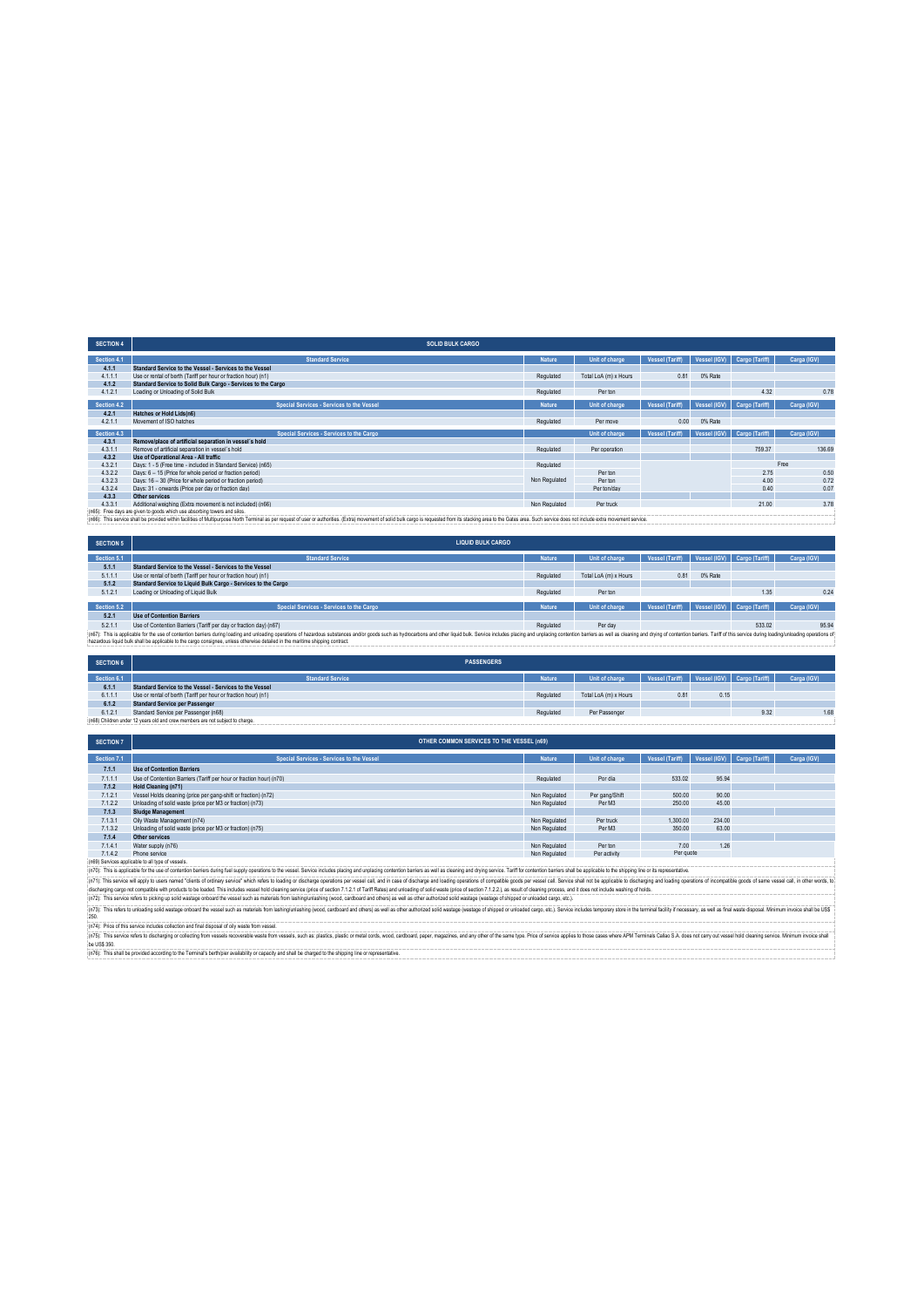| <b>SECTION 4</b> | <b>SOLID BULK CARGO</b>                                                   |               |                       |                        |              |                             |             |
|------------------|---------------------------------------------------------------------------|---------------|-----------------------|------------------------|--------------|-----------------------------|-------------|
| Section 4.1      | <b>Standard Service</b>                                                   | <b>Nature</b> | Unit of charge        | <b>Vessel (Tariff)</b> |              | Vessel (IGV) Cargo (Tariff) | Carga (IGV) |
| 4.1.1            | Standard Service to the Vessel - Services to the Vessel                   |               |                       |                        |              |                             |             |
| 4.1.1.1          | Use or rental of berth (Tariff per hour or fraction hour) (n1)            | Regulated     | Total LoA (m) x Hours | 0.81                   | 0% Rate      |                             |             |
| 4.1.2            | Standard Service to Solid Bulk Cargo - Services to the Cargo              |               |                       |                        |              |                             |             |
| 4.1.2.1          | Loading or Unloading of Solid Bulk                                        | Regulated     | Per ton               |                        |              | 4.32                        | 0.78        |
| Section 4.2      | Special Services - Services to the Vessel                                 | <b>Nature</b> | Unit of charge        | <b>Vessel (Tariff)</b> | Vessel (IGV) | Cargo (Tariff)              | Carga (IGV) |
| 4.2.1            | Hatches or Hold Lids(n6)                                                  |               |                       |                        |              |                             |             |
| 4.2.1.1          | Movement of ISO hatches                                                   | Regulated     | Per move              | 0.00                   | 0% Rate      |                             |             |
| Section 4.3      | Special Services - Services to the Cargo                                  |               | Unit of charge        | <b>Vessel (Tariff)</b> | Vessel (IGV) | Cargo (Tariff)              | Carga (IGV) |
| 4.3.1            | Remove/place of artificial separation in vessel's hold                    |               |                       |                        |              |                             |             |
| 4.3.1.1          | Remove of artificial senaration in vessel's hold                          | Regulated     | Per operation         |                        |              | 759.37                      | 136.69      |
| 4.3.2            | Use of Operational Area - All traffic                                     |               |                       |                        |              |                             |             |
| 4.3.2.1          | Days: 1 - 5 (Free time - included in Standard Service) (n65)              | Regulated     |                       |                        |              |                             | Free        |
| 4.3.2.2          | Days: 6 - 15 (Price for whole period or fraction period)                  |               | Per ton               |                        |              | 2.75                        | 0.50        |
| 4.3.2.3          | Days: 16 - 30 (Price for whole period or fraction period)                 | Non Regulated | Per ton               |                        |              | 4.00                        | 0.72        |
| 4.3.2.4          | Days: 31 - onwards (Price per day or fraction day)                        |               | Per ton/day           |                        |              | 0.40                        | 0.07        |
| 4.3.3            | <b>Other services</b>                                                     |               |                       |                        |              |                             |             |
| 4.3.3.1          | Additional weighing (Extra movement is not included) (n66)                | Non Regulated | Per truck             |                        |              | 21.00                       | 3.78        |
|                  | (nRE): Erna dave are given to goods which use absorbing towers and silos. |               |                       |                        |              |                             |             |

(n65): Free day are given b goods which use absorbng bwers and silos.<br>(n65): This service shall be provided within facilities of Multipurpose North emmind as per request of Examples. (Exha) movement of sold bulk cargo is r

| <b>SECTION 5</b> | <b>LIQUID BULK CARGO</b>                                                                                                                                                                                                       |           |                       |                 |         |                             |             |
|------------------|--------------------------------------------------------------------------------------------------------------------------------------------------------------------------------------------------------------------------------|-----------|-----------------------|-----------------|---------|-----------------------------|-------------|
| Section 5.1      | <b>Standard Service</b>                                                                                                                                                                                                        | Nature    | Unit of charge        | Vessel (Tariff) |         | Vessel (IGV) Cargo (Tariff) | Carga (IGV) |
| 5.1.1            | Standard Service to the Vessel - Services to the Vessel                                                                                                                                                                        |           |                       |                 |         |                             |             |
| 5.1.1.1          | Use or rental of berth (Tariff per hour or fraction hour) (n1)                                                                                                                                                                 | Regulated | Total LoA (m) x Hours | 0.81            | 0% Rate |                             |             |
| 5.1.2            | Standard Service to Liquid Bulk Cargo - Services to the Cargo                                                                                                                                                                  |           |                       |                 |         |                             |             |
| 5.1.2.1          | Loading or Unloading of Liquid Bulk                                                                                                                                                                                            | Regulated | Per ton               |                 |         | 1.35                        | 0.24        |
|                  |                                                                                                                                                                                                                                |           |                       |                 |         |                             |             |
| Section 5.2      | Special Services - Services to the Cargo                                                                                                                                                                                       | Nature    | Unit of charge        | Vessel (Tariff) |         | Vessel (IGV) Cargo (Tariff) | Carga (IGV) |
| 5.2.1            | <b>Use of Contention Barriers</b>                                                                                                                                                                                              |           |                       |                 |         |                             |             |
| 5.2.1.1          | Use of Contention Barriers (Tariff per day or fraction day) (n67)                                                                                                                                                              | Regulated | Per day               |                 |         | 533.02                      | 95.94       |
|                  | (n67): This is applicable for the use of contention barriers during loading and unloading operations of hazardous substances and/or goods such as hydrocarbons and other liquid bulk. Service includes placing and unplacing c |           |                       |                 |         |                             |             |
|                  | hazardous liquid bulk shall be applicable to the cargo consignee, unless otherwise detailed in the maritime shipping contract.                                                                                                 |           |                       |                 |         |                             |             |

| <b>SECTION 6</b> | <b>PASSENGERS</b>                                                             |               |                       |                 |      |                             |             |
|------------------|-------------------------------------------------------------------------------|---------------|-----------------------|-----------------|------|-----------------------------|-------------|
|                  |                                                                               |               |                       |                 |      |                             |             |
| Section 6.1      | <b>Standard Service</b>                                                       | <b>Nature</b> | Unit of charge        | Vessel (Tariff) |      | Vessel (IGV) Cargo (Tariff) | Carga (IGV) |
| 6.1.1            | Standard Service to the Vessel - Services to the Vessel                       |               |                       |                 |      |                             |             |
| 6.1.1.1          | Use or rental of berth (Tariff per hour or fraction hour) (n1)                | Regulated     | Total LoA (m) x Hours | 0.81            | 0.15 |                             |             |
| 6.1.2            | <b>Standard Service per Passenger</b>                                         |               |                       |                 |      |                             |             |
| 6.1.2.1          | Standard Service per Passenger (n68)                                          | Regulated     | Per Passenger         |                 |      | 9.32                        | 1.6         |
|                  | in68) Children under 12 years old and crew members are not subject to charge. |               |                       |                 |      |                             |             |

| <b>SECTION 7</b> | OTHER COMMON SERVICES TO THE VESSEL (n69)                           |               |                |                 |        |                             |             |  |  |  |
|------------------|---------------------------------------------------------------------|---------------|----------------|-----------------|--------|-----------------------------|-------------|--|--|--|
|                  |                                                                     |               |                |                 |        |                             |             |  |  |  |
| Section 7.1      | Special Services - Services to the Vessel                           | <b>Nature</b> | Unit of charge | Vessel (Tariff) |        | Vessel (IGV) Cargo (Tariff) | Carga (IGV) |  |  |  |
| 7.1.1            | <b>Use of Contention Barriers</b>                                   |               |                |                 |        |                             |             |  |  |  |
| 7.1.1.1          | Use of Contention Barriers (Tariff per hour or fraction hour) (n70) | Regulated     | Por día        | 533.02          | 95.94  |                             |             |  |  |  |
| 7.1.2            | Hold Cleaning (n71)                                                 |               |                |                 |        |                             |             |  |  |  |
| 7.1.2.1          | Vessel Holds cleaning (price per gang-shift or fraction) (n72)      | Non Regulated | Per gang/Shift | 500.00          | 90.00  |                             |             |  |  |  |
| 7.1.2.2          | Unloading of solid waste (price per M3 or fraction) (n73)           | Non Regulated | Per M3         | 250.00          | 45.00  |                             |             |  |  |  |
| 7.1.3            | Sludge Management                                                   |               |                |                 |        |                             |             |  |  |  |
| 7.1.3.1          | Oily Waste Management (n74)                                         | Non Regulated | Per truck      | 1.300.00        | 234.00 |                             |             |  |  |  |
| 7.1.3.2          | Unloading of solid waste (price per M3 or fraction) (n75)           | Non Regulated | Per M3         | 350.00          | 63.00  |                             |             |  |  |  |
| 7.1.4            | Other services                                                      |               |                |                 |        |                             |             |  |  |  |
| 7.1.4.1          | Water supply (n76)                                                  | Non Regulated | Per ton        | 7.00            | 1.26   |                             |             |  |  |  |
| 7.1.4.2          | Phone service                                                       | Non Regulated | Per activity   | Per quote       |        |                             |             |  |  |  |

7.1.4.1 Phone service<br>7.1.4.2 Phone service<br>(n9) This service was exploded by the distribution barriers during below operations be wessel. Service includes placing and unplacing contention barriers as well as dearing and d

(250).<br>(n74): Price of this service includes collection and final disposal of oily waste from vessel.

(n75). This serice refers to dischaging or collecting from vessels exoreable wastes form vessels, such as: plastics, plastics metal cords, wood, acadoond, paper, magazines, and any other of the same type. Price of series w